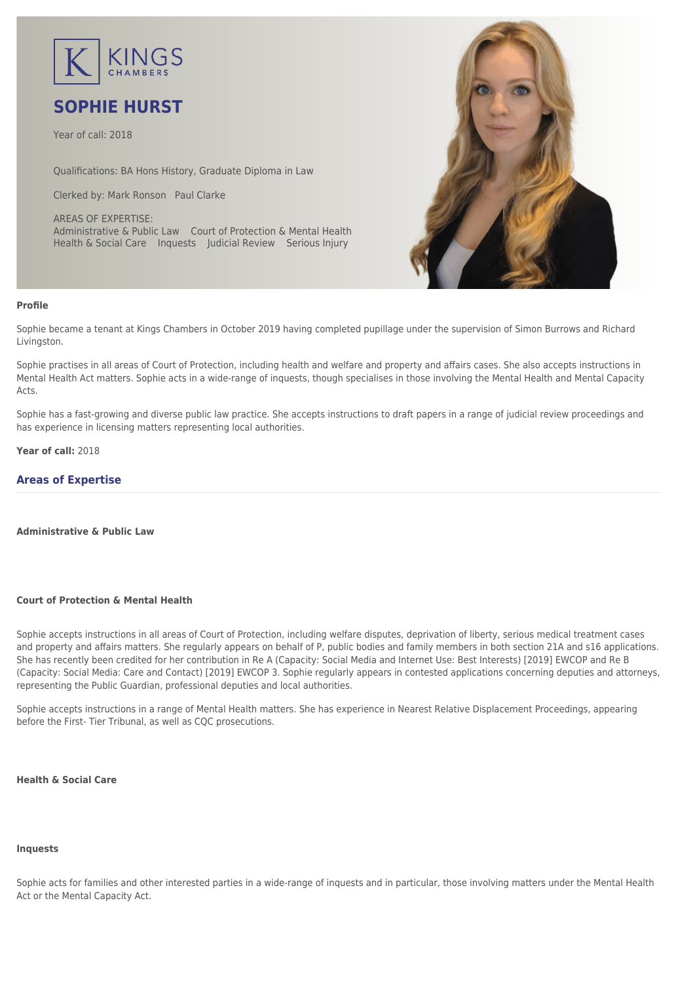

# **SOPHIE HURST**

Year of call: 2018

Qualifications: BA Hons History, Graduate Diploma in Law

Clerked by: [Mark Ronson](mailto:mronson@kingschambers.com) [Paul Clarke](mailto:PClarke@kingschambers.com)

AREAS OF EXPERTISE: Administrative & Public Law Court of Protection & Mental Health Health & Social Care Inquests Judicial Review Serious Injury



#### **Profile**

Sophie became a tenant at Kings Chambers in October 2019 having completed pupillage under the supervision of Simon Burrows and Richard Livingston.

Sophie practises in all areas of Court of Protection, including health and welfare and property and affairs cases. She also accepts instructions in Mental Health Act matters. Sophie acts in a wide-range of inquests, though specialises in those involving the Mental Health and Mental Capacity Acts.

Sophie has a fast-growing and diverse public law practice. She accepts instructions to draft papers in a range of judicial review proceedings and has experience in licensing matters representing local authorities.

**Year of call:** 2018

# **Areas of Expertise**

**[Administrative & Public Law](#page--1-0)**

#### **[Court of Protection & Mental Health](#page--1-0)**

Sophie accepts instructions in all areas of Court of Protection, including welfare disputes, deprivation of liberty, serious medical treatment cases and property and affairs matters. She regularly appears on behalf of P, public bodies and family members in both section 21A and s16 applications. She has recently been credited for her contribution in Re A (Capacity: Social Media and Internet Use: Best Interests) [2019] EWCOP and Re B (Capacity: Social Media: Care and Contact) [2019] EWCOP 3. Sophie regularly appears in contested applications concerning deputies and attorneys, representing the Public Guardian, professional deputies and local authorities.

Sophie accepts instructions in a range of Mental Health matters. She has experience in Nearest Relative Displacement Proceedings, appearing before the First- Tier Tribunal, as well as CQC prosecutions.

#### **[Health & Social Care](#page--1-0)**

#### **[Inquests](#page--1-0)**

Sophie acts for families and other interested parties in a wide-range of inquests and in particular, those involving matters under the Mental Health Act or the Mental Capacity Act.